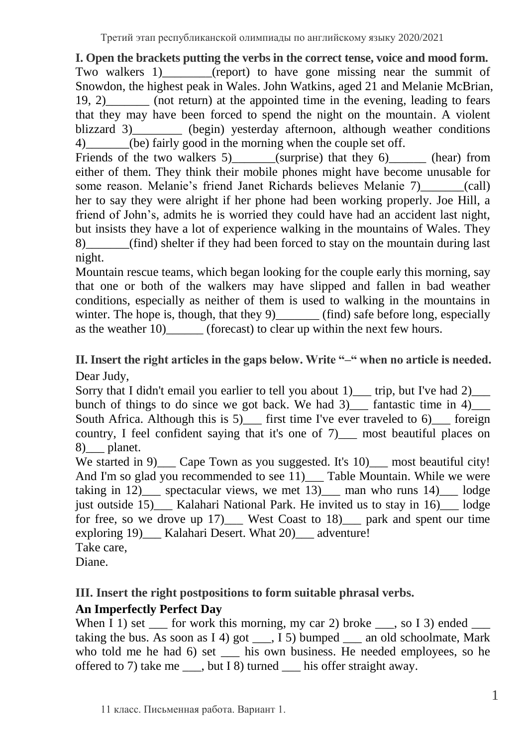**I. Open the brackets putting the verbs in the correct tense, voice and mood form.** Two walkers 1) (report) to have gone missing near the summit of Snowdon, the highest peak in Wales. John Watkins, aged 21 and Melanie McBrian, 19, 2)\_\_\_\_\_\_\_ (not return) at the appointed time in the evening, leading to fears that they may have been forced to spend the night on the mountain. A violent blizzard 3) (begin) yesterday afternoon, although weather conditions 4) (be) fairly good in the morning when the couple set off.

Friends of the two walkers 5) (surprise) that they 6) (hear) from either of them. They think their mobile phones might have become unusable for some reason. Melanie's friend Janet Richards believes Melanie 7) (call) her to say they were alright if her phone had been working properly. Joe Hill, a friend of John's, admits he is worried they could have had an accident last night, but insists they have a lot of experience walking in the mountains of Wales. They 8) (find) shelter if they had been forced to stay on the mountain during last night.

Mountain rescue teams, which began looking for the couple early this morning, say that one or both of the walkers may have slipped and fallen in bad weather conditions, especially as neither of them is used to walking in the mountains in winter. The hope is, though, that they  $9$  (find) safe before long, especially as the weather 10) (forecast) to clear up within the next few hours.

## **II. Insert the right articles in the gaps below. Write "–" when no article is needed.** Dear Judy,

Sorry that I didn't email you earlier to tell you about 1)\_\_\_ trip, but I've had 2)\_\_\_ bunch of things to do since we got back. We had  $3)$  fantastic time in 4) South Africa. Although this is 5) first time I've ever traveled to  $6$  foreign country, I feel confident saying that it's one of 7) — most beautiful places on 8)\_\_\_ planet.

We started in 9) Cape Town as you suggested. It's  $10$ ) most beautiful city! And I'm so glad you recommended to see  $\overline{11}$  Table Mountain. While we were taking in 12) spectacular views, we met 13) and man who runs 14) lodge just outside 15) Kalahari National Park. He invited us to stay in 16) lodge for free, so we drove up 17) West Coast to 18) park and spent our time exploring 19)\_\_\_ Kalahari Desert. What 20)\_\_\_ adventure! Take care,

Diane.

# **III. Insert the right postpositions to form suitable phrasal verbs.**

# **An Imperfectly Perfect Day**

When I 1) set  $\equiv$  for work this morning, my car 2) broke  $\equiv$ , so I 3) ended taking the bus. As soon as I 4) got  $\_\_$ , I 5) bumped  $\_\_$  an old schoolmate, Mark who told me he had 6) set \_\_\_\_ his own business. He needed employees, so he offered to 7) take me \_\_\_, but I 8) turned \_\_\_ his offer straight away.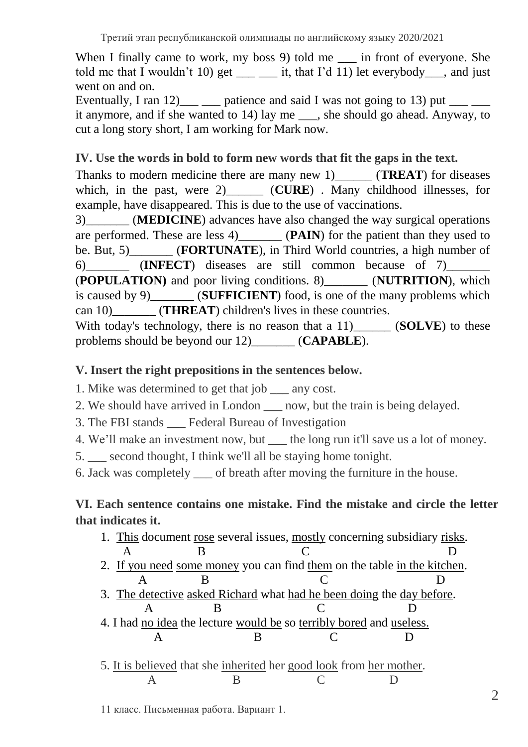When I finally came to work, my boss 9) told me \_\_\_ in front of everyone. She told me that I wouldn't 10) get  $\qquad$  it, that I'd 11) let everybody, and just went on and on.

Eventually, I ran 12) patience and said I was not going to 13) put it anymore, and if she wanted to 14) lay me , she should go ahead. Anyway, to cut a long story short, I am working for Mark now.

## **IV. Use the words in bold to form new words that fit the gaps in the text.**

Thanks to modern medicine there are many new 1) **(TREAT**) for diseases which, in the past, were 2) (**CURE**). Many childhood illnesses, for example, have disappeared. This is due to the use of vaccinations.

3)\_\_\_\_\_\_\_ (**MEDICINE**) advances have also changed the way surgical operations are performed. These are less 4)\_\_\_\_\_\_\_ (**PAIN**) for the patient than they used to be. But, 5) **FORTUNATE**), in Third World countries, a high number of 6)\_\_\_\_\_\_\_ (**INFECT**) diseases are still common because of 7)\_\_\_\_\_\_\_ (**POPULATION)** and poor living conditions. 8)\_\_\_\_\_\_\_ (**NUTRITION**), which is caused by 9)\_\_\_\_\_\_\_ (**SUFFICIENT**) food, is one of the many problems which can 10) **(THREAT**) children's lives in these countries. With today's technology, there is no reason that a 11)\_\_\_\_\_\_ (**SOLVE**) to these

problems should be beyond our 12)\_\_\_\_\_\_\_ (**CAPABLE**).

### **V. Insert the right prepositions in the sentences below.**

1. Mike was determined to get that job \_\_\_ any cost.

2. We should have arrived in London now, but the train is being delayed.

3. The FBI stands \_\_\_ Federal Bureau of Investigation

4. We'll make an investment now, but \_\_\_ the long run it'll save us a lot of money.

5. \_\_\_ second thought, I think we'll all be staying home tonight.

6. Jack was completely \_\_\_ of breath after moving the furniture in the house.

## **VI. Each sentence contains one mistake. Find the mistake and circle the letter that indicates it.**

1. This document rose several issues, mostly concerning subsidiary risks. A B C D 2. If you need some money you can find them on the table in the kitchen. A B C D 3. The detective asked Richard what had he been doing the day before. A B C D 4. I had no idea the lecture would be so terribly bored and useless. A B C D 5. It is believed that she inherited her good look from her mother. A B C D

11 класс. Письменная работа. Вариант 1.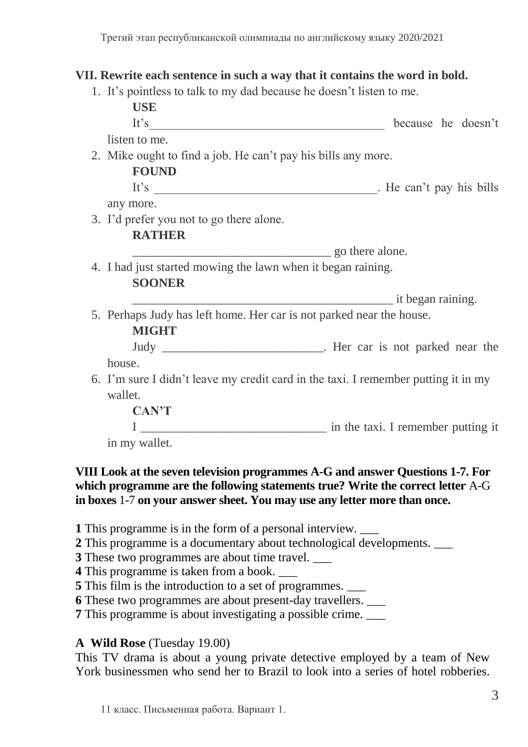#### **VII. Rewrite each sentence in such a way that it contains the word in bold.**

1. It's pointless to talk to my dad because he doesn't listen to me.

|                                                              | <b>USE</b>                                                                         |                                                                        |
|--------------------------------------------------------------|------------------------------------------------------------------------------------|------------------------------------------------------------------------|
|                                                              | It's                                                                               | because he doesn't                                                     |
|                                                              | listen to me.                                                                      |                                                                        |
|                                                              | 2. Mike ought to find a job. He can't pay his bills any more.                      |                                                                        |
|                                                              | <b>FOUND</b>                                                                       |                                                                        |
|                                                              |                                                                                    |                                                                        |
|                                                              | any more.                                                                          |                                                                        |
|                                                              | 3. I'd prefer you not to go there alone.                                           |                                                                        |
|                                                              | <b>RATHER</b>                                                                      |                                                                        |
|                                                              |                                                                                    | go there alone.                                                        |
| 4. I had just started mowing the lawn when it began raining. |                                                                                    |                                                                        |
|                                                              | <b>SOONER</b>                                                                      |                                                                        |
|                                                              |                                                                                    |                                                                        |
|                                                              | 5. Perhaps Judy has left home. Her car is not parked near the house.               |                                                                        |
|                                                              | <b>MIGHT</b>                                                                       |                                                                        |
|                                                              |                                                                                    | Judy _________________________________. Her car is not parked near the |
|                                                              | house.                                                                             |                                                                        |
|                                                              | 6. I'm sure I didn't leave my credit card in the taxi. I remember putting it in my |                                                                        |
|                                                              | wallet.                                                                            |                                                                        |
|                                                              | <b>CAN'T</b>                                                                       |                                                                        |
|                                                              |                                                                                    |                                                                        |
|                                                              | in my wallet.                                                                      |                                                                        |
|                                                              |                                                                                    |                                                                        |

#### **VIII Look at [the seven television programmes](https://www.ielts-exam.net/docs/Reading/IELTS_Reading_General_11_Passage_1.htm#B) A-G and answer Questions 1-7. For which programme are the following statements true? Write the correct letter** A-G **in boxes** 1-7 **on your answer sheet. You may use any letter more than once.**

**1** This programme is in the form of a personal interview. \_\_\_

- **2** This programme is a documentary about technological developments. \_\_\_
- **3** These two programmes are about time travel. \_\_\_

**4** This programme is taken from a book. \_\_\_

**5** This film is the introduction to a set of programmes. \_\_\_

**6** These two programmes are about present-day travellers. \_\_\_

**7** This programme is about investigating a possible crime.

#### **A Wild Rose** (Tuesday 19.00)

This TV drama is about a young private detective employed by a team of New York businessmen who send her to Brazil to look into a series of hotel robberies.